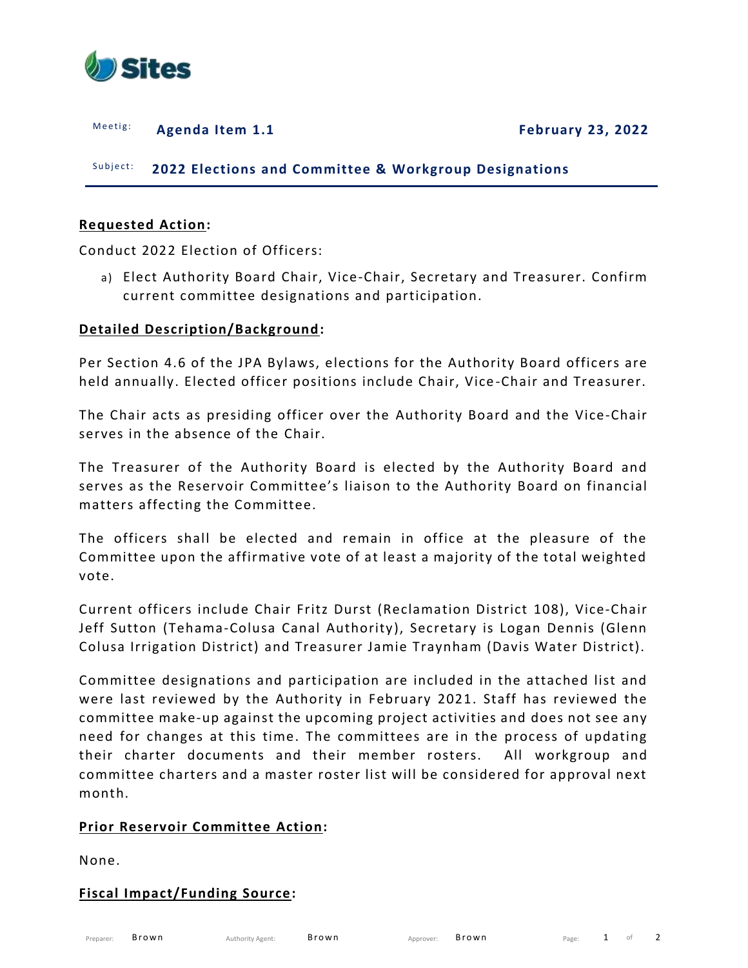

Meetig: **Agenda Item 1.1 February 23, 2022** 

Subject: **2022 Elections and Committee & Workgroup Designations** 

## **Requested Action:**

Conduct 2022 Election of Officers:

a) Elect Authority Board Chair, Vice-Chair, Secretary and Treasurer. Confirm current committee designations and participation.

## **Detailed Description/Background:**

Per Section 4.6 of the JPA Bylaws, elections for the Authority Board officers are held annually. Elected officer positions include Chair, Vice -Chair and Treasurer.

The Chair acts as presiding officer over the Authority Board and the Vice-Chair serves in the absence of the Chair.

The Treasurer of the Authority Board is elected by the Authority Board and serves as the Reservoir Committee's liaison to the Authority Board on financial matters affecting the Committee.

The officers shall be elected and remain in office at the pleasure of the Committee upon the affirmative vote of at least a majority of the total weighted vote.

Current officers include Chair Fritz Durst (Reclamation District 108), Vice-Chair Jeff Sutton (Tehama-Colusa Canal Authority), Secretary is Logan Dennis (Glenn Colusa Irrigation District) and Treasurer Jamie Traynham (Davis Water District).

Committee designations and participation are included in the attached list and were last reviewed by the Authority in February 2021. Staff has reviewed the committee make-up against the upcoming project activities and does not see any need for changes at this time. The committees are in the process of updating their charter documents and their member rosters. All workgroup and committee charters and a master roster list will be considered for approval next month.

## **Prior Reservoir Committee Action:**

None.

#### **Fiscal Impact/Funding Source:**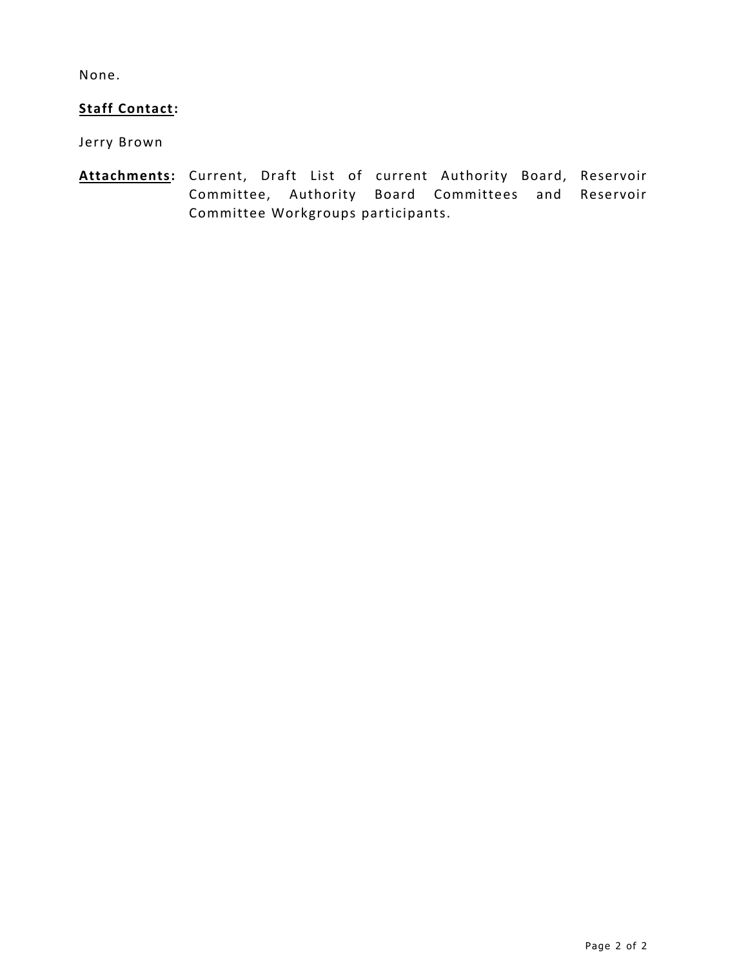None.

# **Staff Contact:**

Jerry Brown

**Attachments:** Current, Draft List of current Authority Board, Reservoir Committee, Authority Board Committees and Reservoir Committee Workgroups participants.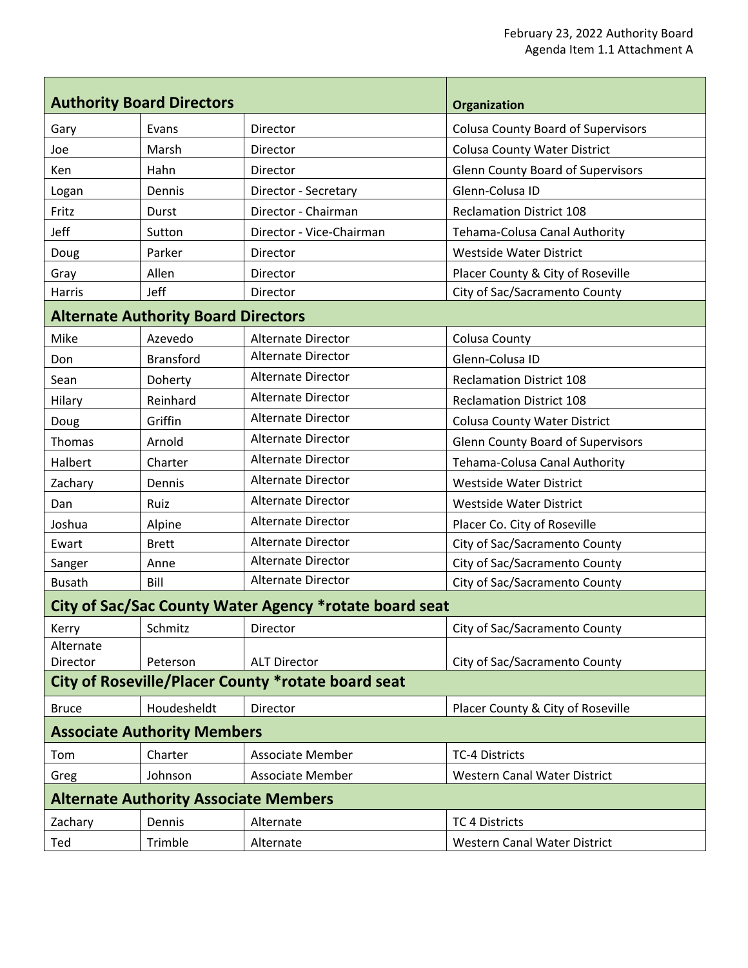| <b>Authority Board Directors</b>                       |                                              |                                                    | Organization                              |
|--------------------------------------------------------|----------------------------------------------|----------------------------------------------------|-------------------------------------------|
| Gary                                                   | Evans                                        | Director                                           | <b>Colusa County Board of Supervisors</b> |
| Joe                                                    | Marsh                                        | Director                                           | <b>Colusa County Water District</b>       |
| Ken                                                    | Hahn                                         | Director                                           | <b>Glenn County Board of Supervisors</b>  |
| Logan                                                  | Dennis                                       | Director - Secretary                               | Glenn-Colusa ID                           |
| Fritz                                                  | Durst                                        | Director - Chairman                                | <b>Reclamation District 108</b>           |
| Jeff                                                   | Sutton                                       | Director - Vice-Chairman                           | Tehama-Colusa Canal Authority             |
| Doug                                                   | Parker                                       | Director                                           | <b>Westside Water District</b>            |
| Gray                                                   | Allen                                        | Director                                           | Placer County & City of Roseville         |
| Harris                                                 | Jeff                                         | Director                                           | City of Sac/Sacramento County             |
|                                                        | <b>Alternate Authority Board Directors</b>   |                                                    |                                           |
| Mike                                                   | Azevedo                                      | <b>Alternate Director</b>                          | <b>Colusa County</b>                      |
| Don                                                    | <b>Bransford</b>                             | Alternate Director                                 | Glenn-Colusa ID                           |
| Sean                                                   | Doherty                                      | <b>Alternate Director</b>                          | <b>Reclamation District 108</b>           |
| Hilary                                                 | Reinhard                                     | Alternate Director                                 | <b>Reclamation District 108</b>           |
| Doug                                                   | Griffin                                      | <b>Alternate Director</b>                          | <b>Colusa County Water District</b>       |
| Thomas                                                 | Arnold                                       | Alternate Director                                 | <b>Glenn County Board of Supervisors</b>  |
| Halbert                                                | Charter                                      | <b>Alternate Director</b>                          | Tehama-Colusa Canal Authority             |
| Zachary                                                | Dennis                                       | Alternate Director                                 | <b>Westside Water District</b>            |
| Dan                                                    | Ruiz                                         | Alternate Director                                 | <b>Westside Water District</b>            |
| Joshua                                                 | Alpine                                       | Alternate Director                                 | Placer Co. City of Roseville              |
| Ewart                                                  | <b>Brett</b>                                 | <b>Alternate Director</b>                          | City of Sac/Sacramento County             |
| Sanger                                                 | Anne                                         | Alternate Director                                 | City of Sac/Sacramento County             |
| <b>Busath</b>                                          | Bill                                         | Alternate Director                                 | City of Sac/Sacramento County             |
| City of Sac/Sac County Water Agency *rotate board seat |                                              |                                                    |                                           |
| Kerry                                                  | Schmitz                                      | Director                                           | City of Sac/Sacramento County             |
| Alternate                                              |                                              | <b>ALT Director</b>                                |                                           |
| Director                                               | Peterson                                     | City of Roseville/Placer County *rotate board seat | City of Sac/Sacramento County             |
| <b>Bruce</b>                                           | Houdesheldt                                  | Director                                           | Placer County & City of Roseville         |
|                                                        | <b>Associate Authority Members</b>           |                                                    |                                           |
| Tom                                                    | Charter                                      | <b>Associate Member</b>                            | <b>TC-4 Districts</b>                     |
|                                                        | Johnson                                      | <b>Associate Member</b>                            | <b>Western Canal Water District</b>       |
| Greg                                                   |                                              |                                                    |                                           |
|                                                        | <b>Alternate Authority Associate Members</b> |                                                    |                                           |
| Zachary                                                | Dennis                                       | Alternate                                          | <b>TC 4 Districts</b>                     |
| Ted                                                    | Trimble                                      | Alternate                                          | Western Canal Water District              |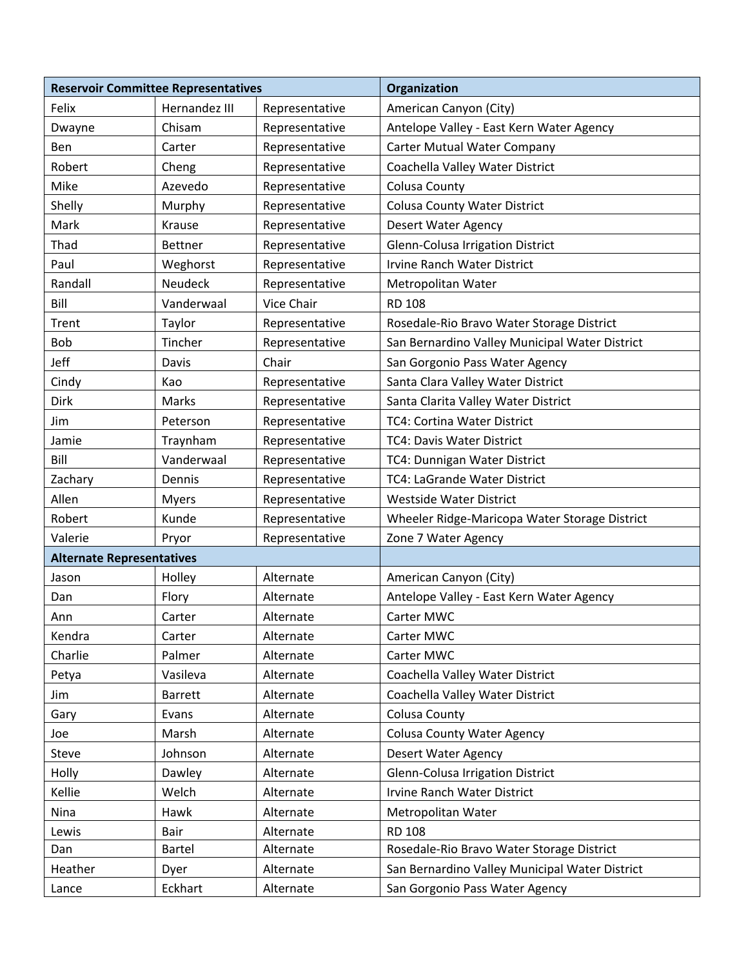| <b>Reservoir Committee Representatives</b> |                |                | Organization                                   |  |
|--------------------------------------------|----------------|----------------|------------------------------------------------|--|
| Felix                                      | Hernandez III  | Representative | American Canyon (City)                         |  |
| Dwayne                                     | Chisam         | Representative | Antelope Valley - East Kern Water Agency       |  |
| Ben                                        | Carter         | Representative | <b>Carter Mutual Water Company</b>             |  |
| Robert                                     | Cheng          | Representative | Coachella Valley Water District                |  |
| Mike                                       | Azevedo        | Representative | <b>Colusa County</b>                           |  |
| Shelly                                     | Murphy         | Representative | <b>Colusa County Water District</b>            |  |
| Mark                                       | Krause         | Representative | <b>Desert Water Agency</b>                     |  |
| Thad                                       | <b>Bettner</b> | Representative | Glenn-Colusa Irrigation District               |  |
| Paul                                       | Weghorst       | Representative | <b>Irvine Ranch Water District</b>             |  |
| Randall                                    | Neudeck        | Representative | Metropolitan Water                             |  |
| Bill                                       | Vanderwaal     | Vice Chair     | <b>RD 108</b>                                  |  |
| Trent                                      | Taylor         | Representative | Rosedale-Rio Bravo Water Storage District      |  |
| Bob                                        | Tincher        | Representative | San Bernardino Valley Municipal Water District |  |
| Jeff                                       | Davis          | Chair          | San Gorgonio Pass Water Agency                 |  |
| Cindy                                      | Kao            | Representative | Santa Clara Valley Water District              |  |
| Dirk                                       | Marks          | Representative | Santa Clarita Valley Water District            |  |
| Jim                                        | Peterson       | Representative | <b>TC4: Cortina Water District</b>             |  |
| Jamie                                      | Traynham       | Representative | TC4: Davis Water District                      |  |
| Bill                                       | Vanderwaal     | Representative | TC4: Dunnigan Water District                   |  |
| Zachary                                    | Dennis         | Representative | TC4: LaGrande Water District                   |  |
| Allen                                      | <b>Myers</b>   | Representative | <b>Westside Water District</b>                 |  |
| Robert                                     | Kunde          | Representative | Wheeler Ridge-Maricopa Water Storage District  |  |
| Valerie                                    | Pryor          | Representative | Zone 7 Water Agency                            |  |
| <b>Alternate Representatives</b>           |                |                |                                                |  |
| Jason                                      | Holley         | Alternate      | American Canyon (City)                         |  |
| Dan                                        | Flory          | Alternate      | Antelope Valley - East Kern Water Agency       |  |
| Ann                                        | Carter         | Alternate      | Carter MWC                                     |  |
| Kendra                                     | Carter         | Alternate      | Carter MWC                                     |  |
| Charlie                                    | Palmer         | Alternate      | Carter MWC                                     |  |
| Petya                                      | Vasileva       | Alternate      | Coachella Valley Water District                |  |
| Jim                                        | <b>Barrett</b> | Alternate      | Coachella Valley Water District                |  |
| Gary                                       | Evans          | Alternate      | <b>Colusa County</b>                           |  |
| Joe                                        | Marsh          | Alternate      | <b>Colusa County Water Agency</b>              |  |
| Steve                                      | Johnson        | Alternate      | <b>Desert Water Agency</b>                     |  |
| Holly                                      | Dawley         | Alternate      | Glenn-Colusa Irrigation District               |  |
| Kellie                                     | Welch          | Alternate      | Irvine Ranch Water District                    |  |
| Nina                                       | Hawk           | Alternate      | Metropolitan Water                             |  |
| Lewis                                      | Bair           | Alternate      | <b>RD 108</b>                                  |  |
| Dan                                        | <b>Bartel</b>  | Alternate      | Rosedale-Rio Bravo Water Storage District      |  |
| Heather                                    | Dyer           | Alternate      | San Bernardino Valley Municipal Water District |  |
| Lance                                      | Eckhart        | Alternate      | San Gorgonio Pass Water Agency                 |  |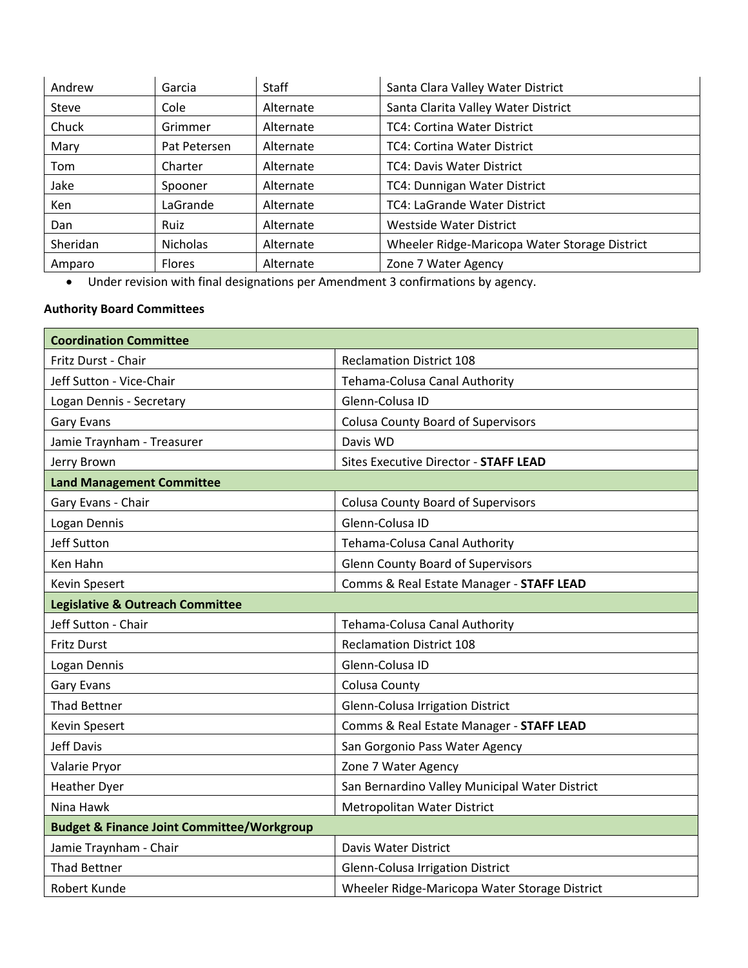| Andrew     | Garcia          | <b>Staff</b> | Santa Clara Valley Water District             |
|------------|-----------------|--------------|-----------------------------------------------|
| Steve      | Cole            | Alternate    | Santa Clarita Valley Water District           |
| Chuck      | Grimmer         | Alternate    | <b>TC4: Cortina Water District</b>            |
| Mary       | Pat Petersen    | Alternate    | <b>TC4: Cortina Water District</b>            |
| Tom        | Charter         | Alternate    | <b>TC4: Davis Water District</b>              |
| Jake       | Spooner         | Alternate    | TC4: Dunnigan Water District                  |
| <b>Ken</b> | LaGrande        | Alternate    | TC4: LaGrande Water District                  |
| Dan        | Ruiz            | Alternate    | Westside Water District                       |
| Sheridan   | <b>Nicholas</b> | Alternate    | Wheeler Ridge-Maricopa Water Storage District |
| Amparo     | <b>Flores</b>   | Alternate    | Zone 7 Water Agency                           |

• Under revision with final designations per Amendment 3 confirmations by agency.

## **Authority Board Committees**

| <b>Coordination Committee</b>                         |                                                |
|-------------------------------------------------------|------------------------------------------------|
| Fritz Durst - Chair                                   | <b>Reclamation District 108</b>                |
| Jeff Sutton - Vice-Chair                              | Tehama-Colusa Canal Authority                  |
| Logan Dennis - Secretary                              | Glenn-Colusa ID                                |
| <b>Gary Evans</b>                                     | <b>Colusa County Board of Supervisors</b>      |
| Jamie Traynham - Treasurer                            | Davis WD                                       |
| Jerry Brown                                           | Sites Executive Director - STAFF LEAD          |
| <b>Land Management Committee</b>                      |                                                |
| Gary Evans - Chair                                    | <b>Colusa County Board of Supervisors</b>      |
| Logan Dennis                                          | Glenn-Colusa ID                                |
| Jeff Sutton                                           | Tehama-Colusa Canal Authority                  |
| Ken Hahn                                              | <b>Glenn County Board of Supervisors</b>       |
| Kevin Spesert                                         | Comms & Real Estate Manager - STAFF LEAD       |
| <b>Legislative &amp; Outreach Committee</b>           |                                                |
| Jeff Sutton - Chair                                   | Tehama-Colusa Canal Authority                  |
| <b>Fritz Durst</b>                                    | <b>Reclamation District 108</b>                |
| Logan Dennis                                          | Glenn-Colusa ID                                |
| <b>Gary Evans</b>                                     | <b>Colusa County</b>                           |
| <b>Thad Bettner</b>                                   | Glenn-Colusa Irrigation District               |
| Kevin Spesert                                         | Comms & Real Estate Manager - STAFF LEAD       |
| Jeff Davis                                            | San Gorgonio Pass Water Agency                 |
| Valarie Pryor                                         | Zone 7 Water Agency                            |
| <b>Heather Dyer</b>                                   | San Bernardino Valley Municipal Water District |
| Nina Hawk                                             | Metropolitan Water District                    |
| <b>Budget &amp; Finance Joint Committee/Workgroup</b> |                                                |
| Jamie Traynham - Chair                                | Davis Water District                           |
| <b>Thad Bettner</b>                                   | Glenn-Colusa Irrigation District               |
| Robert Kunde                                          | Wheeler Ridge-Maricopa Water Storage District  |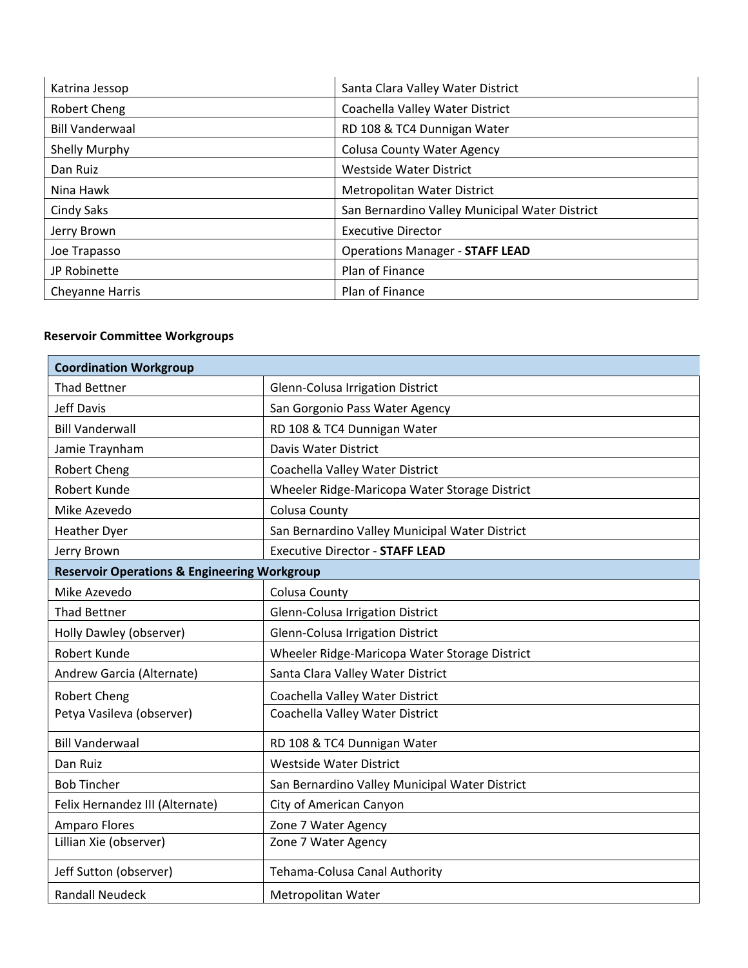| Katrina Jessop         | Santa Clara Valley Water District              |
|------------------------|------------------------------------------------|
| Robert Cheng           | Coachella Valley Water District                |
| <b>Bill Vanderwaal</b> | RD 108 & TC4 Dunnigan Water                    |
| Shelly Murphy          | <b>Colusa County Water Agency</b>              |
| Dan Ruiz               | <b>Westside Water District</b>                 |
| Nina Hawk              | Metropolitan Water District                    |
| Cindy Saks             | San Bernardino Valley Municipal Water District |
| Jerry Brown            | <b>Executive Director</b>                      |
| Joe Trapasso           | <b>Operations Manager - STAFF LEAD</b>         |
| JP Robinette           | Plan of Finance                                |
| Cheyanne Harris        | Plan of Finance                                |

### **Reservoir Committee Workgroups**

| <b>Coordination Workgroup</b>                           |                                                |  |
|---------------------------------------------------------|------------------------------------------------|--|
| <b>Thad Bettner</b>                                     | Glenn-Colusa Irrigation District               |  |
| <b>Jeff Davis</b>                                       | San Gorgonio Pass Water Agency                 |  |
| <b>Bill Vanderwall</b>                                  | RD 108 & TC4 Dunnigan Water                    |  |
| Jamie Traynham                                          | Davis Water District                           |  |
| <b>Robert Cheng</b>                                     | Coachella Valley Water District                |  |
| Robert Kunde                                            | Wheeler Ridge-Maricopa Water Storage District  |  |
| Mike Azevedo                                            | <b>Colusa County</b>                           |  |
| <b>Heather Dyer</b>                                     | San Bernardino Valley Municipal Water District |  |
| Jerry Brown                                             | <b>Executive Director - STAFF LEAD</b>         |  |
| <b>Reservoir Operations &amp; Engineering Workgroup</b> |                                                |  |
| Mike Azevedo                                            | <b>Colusa County</b>                           |  |
| <b>Thad Bettner</b>                                     | <b>Glenn-Colusa Irrigation District</b>        |  |
| Holly Dawley (observer)                                 | Glenn-Colusa Irrigation District               |  |
| Robert Kunde                                            | Wheeler Ridge-Maricopa Water Storage District  |  |
| Andrew Garcia (Alternate)                               | Santa Clara Valley Water District              |  |
| <b>Robert Cheng</b>                                     | Coachella Valley Water District                |  |
| Petya Vasileva (observer)                               | Coachella Valley Water District                |  |
| <b>Bill Vanderwaal</b>                                  | RD 108 & TC4 Dunnigan Water                    |  |
| Dan Ruiz                                                | <b>Westside Water District</b>                 |  |
| <b>Bob Tincher</b>                                      | San Bernardino Valley Municipal Water District |  |
| Felix Hernandez III (Alternate)                         | City of American Canyon                        |  |
| <b>Amparo Flores</b>                                    | Zone 7 Water Agency                            |  |
| Lillian Xie (observer)                                  | Zone 7 Water Agency                            |  |
| Jeff Sutton (observer)                                  | Tehama-Colusa Canal Authority                  |  |
| <b>Randall Neudeck</b>                                  | Metropolitan Water                             |  |